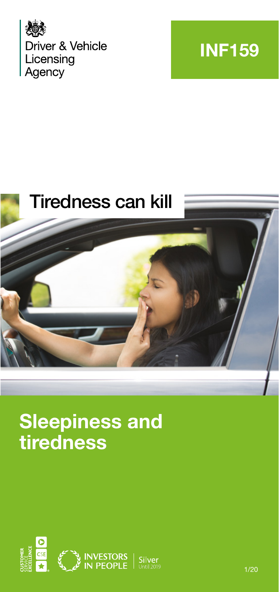





# **Sleepiness and tiredness**

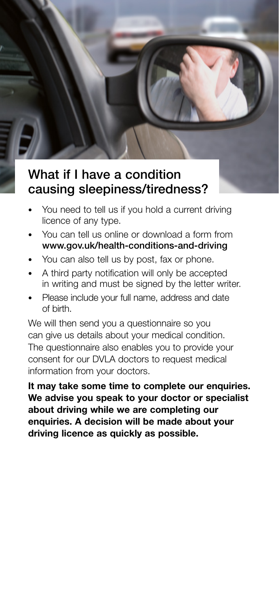# What if I have a condition causing sleepiness/tiredness?

- You need to tell us if you hold a current driving licence of any type.
- You can tell us online or download a form from www.gov.uk/health-conditions-and-driving
- You can also tell us by post, fax or phone.
- A third party notification will only be accepted in writing and must be signed by the letter writer.
- Please include your full name, address and date of birth.

We will then send you a questionnaire so you can give us details about your medical condition. The questionnaire also enables you to provide your consent for our DVLA doctors to request medical information from your doctors.

**It may take some time to complete our enquiries. We advise you speak to your doctor or specialist about driving while we are completing our enquiries. A decision will be made about your driving licence as quickly as possible.**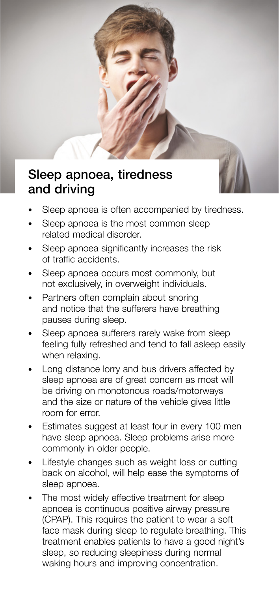# Sleep apnoea, tiredness and driving



- Sleep apnoea is often accompanied by tiredness.
- Sleep apnoea is the most common sleep related medical disorder.
- Sleep apnoea significantly increases the risk of traffic accidents.
- Sleep apnoea occurs most commonly, but not exclusively, in overweight individuals.
- Partners often complain about snoring and notice that the sufferers have breathing pauses during sleep.
- Sleep apnoea sufferers rarely wake from sleep feeling fully refreshed and tend to fall asleep easily when relaxing.
- Long distance lorry and bus drivers affected by sleep apnoea are of great concern as most will be driving on monotonous roads/motorways and the size or nature of the vehicle gives little room for error.
- Estimates suggest at least four in every 100 men have sleep apnoea. Sleep problems arise more commonly in older people.
- Lifestyle changes such as weight loss or cutting back on alcohol, will help ease the symptoms of sleep apnoea.
- The most widely effective treatment for sleep apnoea is continuous positive airway pressure (CPAP). This requires the patient to wear a soft face mask during sleep to regulate breathing. This treatment enables patients to have a good night's sleep, so reducing sleepiness during normal waking hours and improving concentration.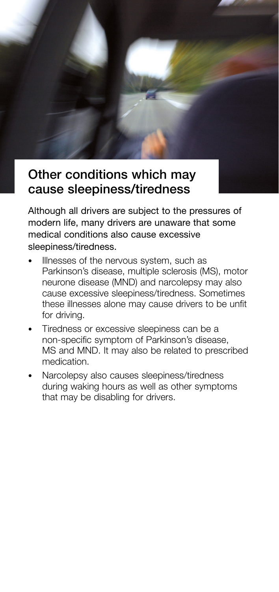# Other conditions which may cause sleepiness/tiredness

Although all drivers are subject to the pressures of modern life, many drivers are unaware that some medical conditions also cause excessive sleepiness/tiredness.

- Illnesses of the nervous system, such as Parkinson's disease, multiple sclerosis (MS), motor neurone disease (MND) and narcolepsy may also cause excessive sleepiness/tiredness. Sometimes these illnesses alone may cause drivers to be unfit for driving.
- Tiredness or excessive sleepiness can be a non-specific symptom of Parkinson's disease, MS and MND. It may also be related to prescribed medication.
- Narcolepsy also causes sleepiness/tiredness during waking hours as well as other symptoms that may be disabling for drivers.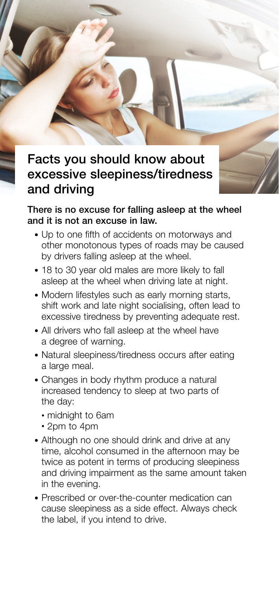# Facts you should know about excessive sleepiness/tiredness and driving

#### There is no excuse for falling asleep at the wheel and it is not an excuse in law.

- Up to one fifth of accidents on motorways and other monotonous types of roads may be caused by drivers falling asleep at the wheel.
- 18 to 30 year old males are more likely to fall asleep at the wheel when driving late at night.
- Modern lifestyles such as early morning starts, shift work and late night socialising, often lead to excessive tiredness by preventing adequate rest.
- All drivers who fall asleep at the wheel have a degree of warning.
- Natural sleepiness/tiredness occurs after eating a large meal.
- Changes in body rhythm produce a natural increased tendency to sleep at two parts of the day:
	- midnight to 6am
	- 2pm to 4pm
- Although no one should drink and drive at any time, alcohol consumed in the afternoon may be twice as potent in terms of producing sleepiness and driving impairment as the same amount taken in the evening.
- Prescribed or over-the-counter medication can cause sleepiness as a side effect. Always check the label, if you intend to drive.